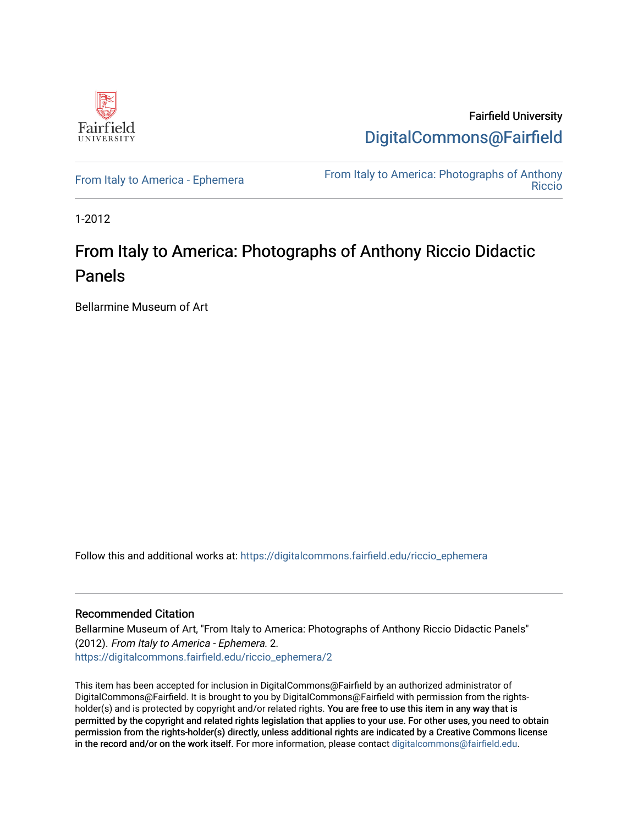

Fairfield University [DigitalCommons@Fairfield](https://digitalcommons.fairfield.edu/) 

[From Italy to America - Ephemera](https://digitalcommons.fairfield.edu/riccio_ephemera)<br>Biocio [Riccio](https://digitalcommons.fairfield.edu/riccio) 

1-2012

## From Italy to America: Photographs of Anthony Riccio Didactic Panels

Bellarmine Museum of Art

Follow this and additional works at: [https://digitalcommons.fairfield.edu/riccio\\_ephemera](https://digitalcommons.fairfield.edu/riccio_ephemera?utm_source=digitalcommons.fairfield.edu%2Friccio_ephemera%2F2&utm_medium=PDF&utm_campaign=PDFCoverPages)

## Recommended Citation

Bellarmine Museum of Art, "From Italy to America: Photographs of Anthony Riccio Didactic Panels" (2012). From Italy to America - Ephemera. 2. [https://digitalcommons.fairfield.edu/riccio\\_ephemera/2](https://digitalcommons.fairfield.edu/riccio_ephemera/2?utm_source=digitalcommons.fairfield.edu%2Friccio_ephemera%2F2&utm_medium=PDF&utm_campaign=PDFCoverPages) 

This item has been accepted for inclusion in DigitalCommons@Fairfield by an authorized administrator of DigitalCommons@Fairfield. It is brought to you by DigitalCommons@Fairfield with permission from the rightsholder(s) and is protected by copyright and/or related rights. You are free to use this item in any way that is permitted by the copyright and related rights legislation that applies to your use. For other uses, you need to obtain permission from the rights-holder(s) directly, unless additional rights are indicated by a Creative Commons license in the record and/or on the work itself. For more information, please contact [digitalcommons@fairfield.edu.](mailto:digitalcommons@fairfield.edu)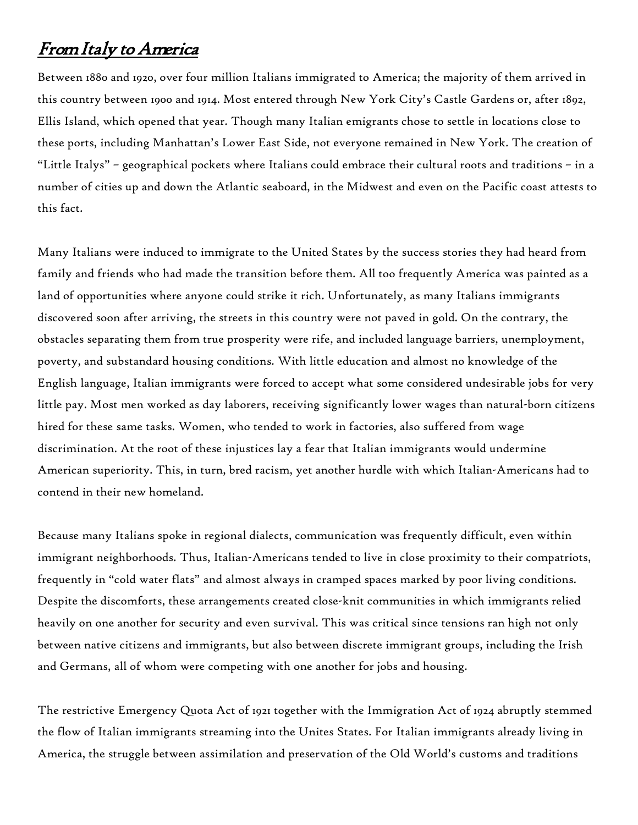## From Italy to America

Between 1880 and 1920, over four million Italians immigrated to America; the majority of them arrived in this country between 1900 and 1914. Most entered through New York City's Castle Gardens or, after 1892, Ellis Island, which opened that year. Though many Italian emigrants chose to settle in locations close to these ports, including Manhattan's Lower East Side, not everyone remained in New York. The creation of "Little Italys" – geographical pockets where Italians could embrace their cultural roots and traditions – in a number of cities up and down the Atlantic seaboard, in the Midwest and even on the Pacific coast attests to this fact.

Many Italians were induced to immigrate to the United States by the success stories they had heard from family and friends who had made the transition before them. All too frequently America was painted as a land of opportunities where anyone could strike it rich. Unfortunately, as many Italians immigrants discovered soon after arriving, the streets in this country were not paved in gold. On the contrary, the obstacles separating them from true prosperity were rife, and included language barriers, unemployment, poverty, and substandard housing conditions. With little education and almost no knowledge of the English language, Italian immigrants were forced to accept what some considered undesirable jobs for very little pay. Most men worked as day laborers, receiving significantly lower wages than natural-born citizens hired for these same tasks. Women, who tended to work in factories, also suffered from wage discrimination. At the root of these injustices lay a fear that Italian immigrants would undermine American superiority. This, in turn, bred racism, yet another hurdle with which Italian-Americans had to contend in their new homeland.

Because many Italians spoke in regional dialects, communication was frequently difficult, even within immigrant neighborhoods. Thus, Italian-Americans tended to live in close proximity to their compatriots, frequently in "cold water flats" and almost always in cramped spaces marked by poor living conditions. Despite the discomforts, these arrangements created close-knit communities in which immigrants relied heavily on one another for security and even survival. This was critical since tensions ran high not only between native citizens and immigrants, but also between discrete immigrant groups, including the Irish and Germans, all of whom were competing with one another for jobs and housing.

The restrictive Emergency Quota Act of 1921 together with the Immigration Act of 1924 abruptly stemmed the flow of Italian immigrants streaming into the Unites States. For Italian immigrants already living in America, the struggle between assimilation and preservation of the Old World's customs and traditions